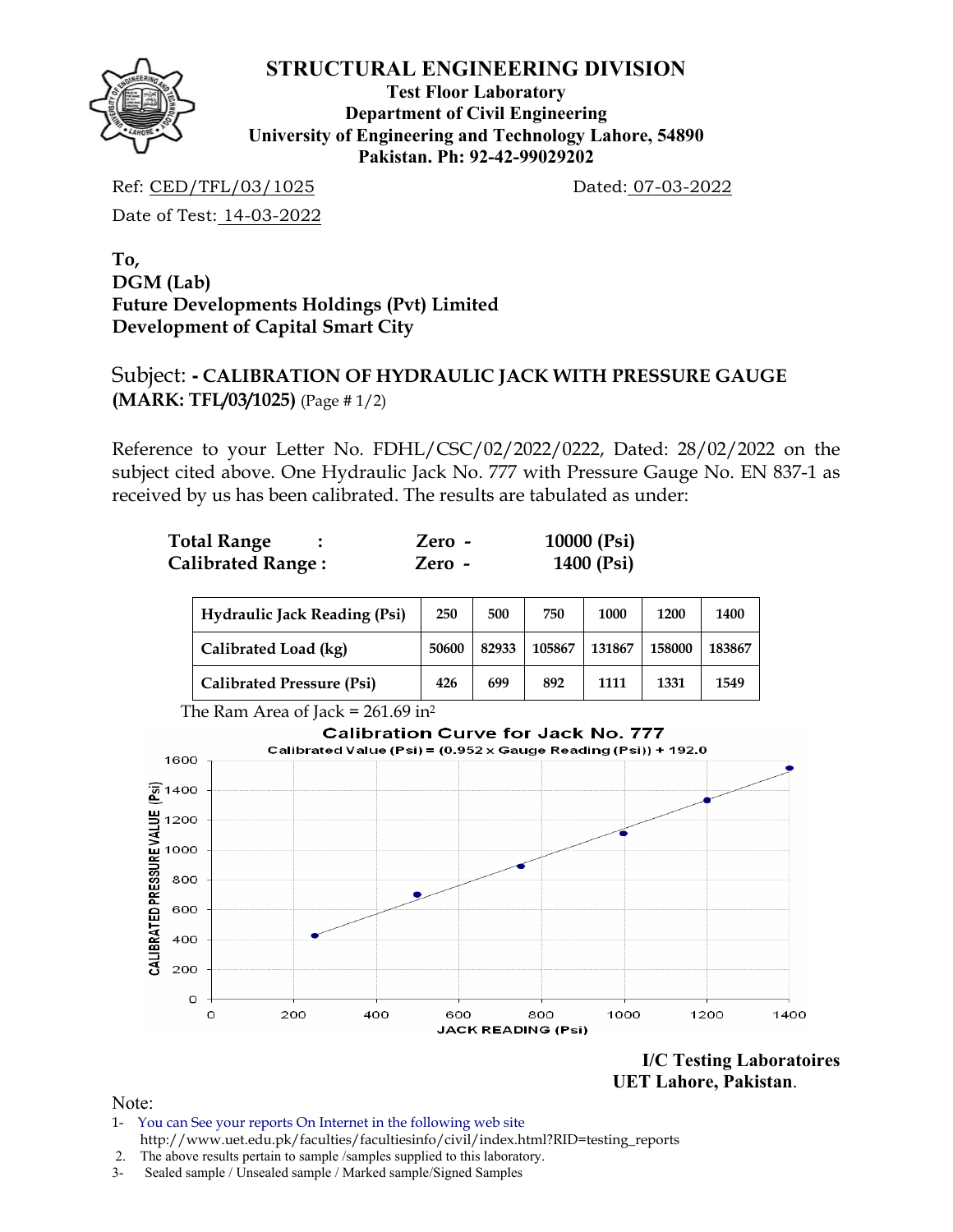

**Test Floor Laboratory Department of Civil Engineering University of Engineering and Technology Lahore, 54890 Pakistan. Ph: 92-42-99029202** 

Ref: CED/TFL/03/1025 Dated: 07-03-2022

Date of Test: 14-03-2022

**To, DGM (Lab) Future Developments Holdings (Pvt) Limited Development of Capital Smart City** 

# Subject: **- CALIBRATION OF HYDRAULIC JACK WITH PRESSURE GAUGE (MARK: TFL/03/1025)** (Page # 1/2)

Reference to your Letter No. FDHL/CSC/02/2022/0222, Dated: 28/02/2022 on the subject cited above. One Hydraulic Jack No. 777 with Pressure Gauge No. EN 837-1 as received by us has been calibrated. The results are tabulated as under:

| <b>Total Range</b>       | Zero - | 10000 (Psi) |
|--------------------------|--------|-------------|
| <b>Calibrated Range:</b> | Zero - | 1400 (Psi)  |

| <b>Hydraulic Jack Reading (Psi)</b>             | 250   | 500   | 750    | 1000   | 1200   | 1400   |  |  |  |
|-------------------------------------------------|-------|-------|--------|--------|--------|--------|--|--|--|
| Calibrated Load (kg)                            | 50600 | 82933 | 105867 | 131867 | 158000 | 183867 |  |  |  |
| <b>Calibrated Pressure (Psi)</b>                | 426   | 699   | 892    | 1111   | 1331   | 1549   |  |  |  |
| The Ram Area of Jack = $261.69$ in <sup>2</sup> |       |       |        |        |        |        |  |  |  |



**I/C Testing Laboratoires UET Lahore, Pakistan**.

- 1- You can See your reports On Internet in the following web site http://www.uet.edu.pk/faculties/facultiesinfo/civil/index.html?RID=testing\_reports
- 2. The above results pertain to sample /samples supplied to this laboratory.
- 3- Sealed sample / Unsealed sample / Marked sample/Signed Samples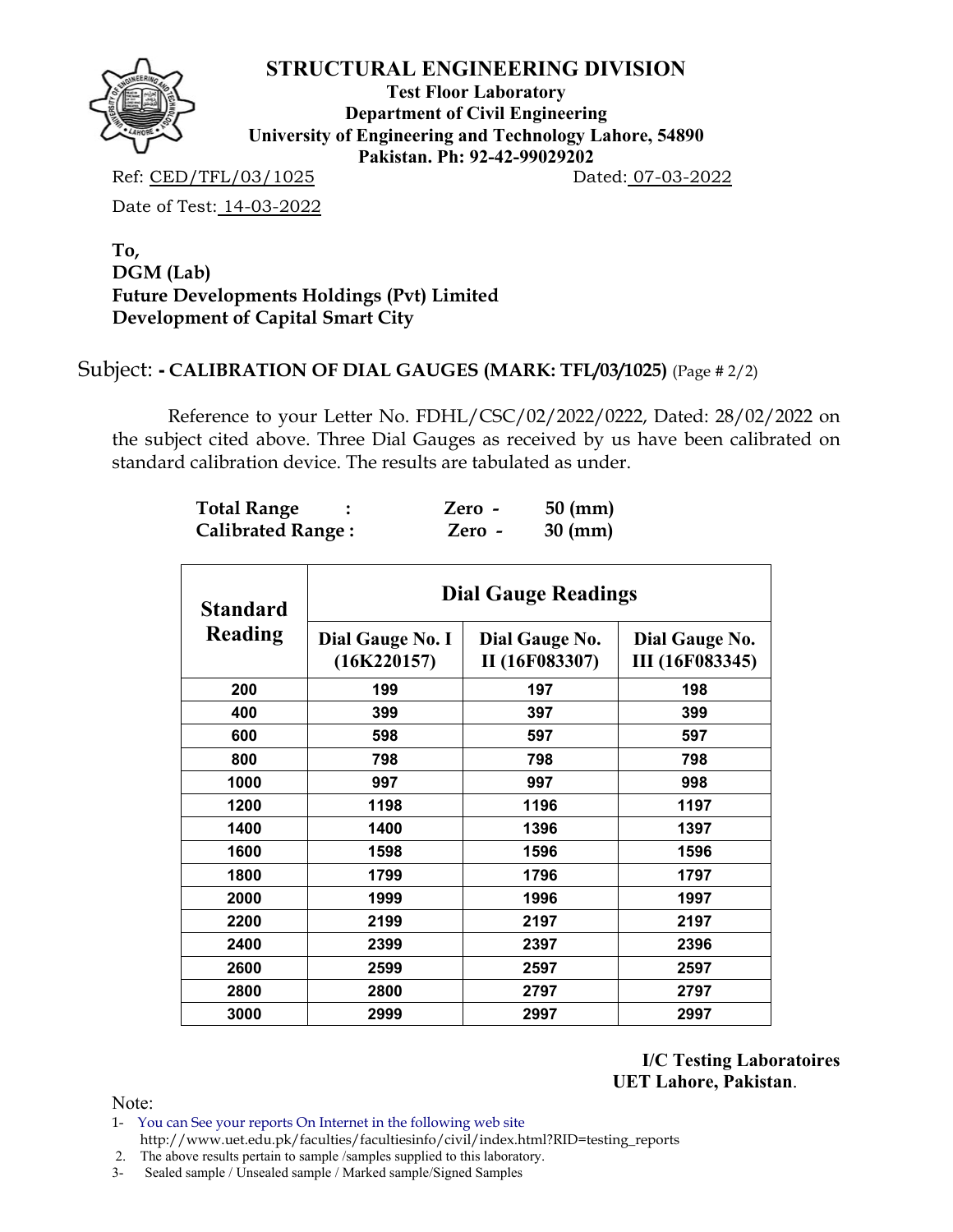

**Test Floor Laboratory Department of Civil Engineering University of Engineering and Technology Lahore, 54890 Pakistan. Ph: 92-42-99029202** 

Ref: CED/TFL/03/1025 Dated: 07-03-2022

Date of Test: 14-03-2022

### **To, DGM (Lab) Future Developments Holdings (Pvt) Limited Development of Capital Smart City**

# Subject: **- CALIBRATION OF DIAL GAUGES (MARK: TFL/03/1025)** (Page # 2/2)

 Reference to your Letter No. FDHL/CSC/02/2022/0222, Dated: 28/02/2022 on the subject cited above. Three Dial Gauges as received by us have been calibrated on standard calibration device. The results are tabulated as under.

| <b>Total Range</b>       | Zero - | $50 \text{ (mm)}$ |
|--------------------------|--------|-------------------|
| <b>Calibrated Range:</b> | Zero - | $30 \text{ (mm)}$ |

| <b>Standard</b> | <b>Dial Gauge Readings</b>      |                                  |                                          |  |  |  |  |  |  |  |  |
|-----------------|---------------------------------|----------------------------------|------------------------------------------|--|--|--|--|--|--|--|--|
| Reading         | Dial Gauge No. I<br>(16K220157) | Dial Gauge No.<br>II (16F083307) | Dial Gauge No.<br><b>III</b> (16F083345) |  |  |  |  |  |  |  |  |
| 200             | 199                             | 197                              | 198                                      |  |  |  |  |  |  |  |  |
| 400             | 399                             | 397                              | 399                                      |  |  |  |  |  |  |  |  |
| 600             | 598                             | 597                              | 597                                      |  |  |  |  |  |  |  |  |
| 800             | 798                             | 798                              | 798                                      |  |  |  |  |  |  |  |  |
| 1000            | 997                             | 997                              | 998                                      |  |  |  |  |  |  |  |  |
| 1200            | 1198                            | 1196                             | 1197                                     |  |  |  |  |  |  |  |  |
| 1400            | 1400                            | 1396                             | 1397                                     |  |  |  |  |  |  |  |  |
| 1600            | 1598                            | 1596                             | 1596                                     |  |  |  |  |  |  |  |  |
| 1800            | 1799                            | 1796                             | 1797                                     |  |  |  |  |  |  |  |  |
| 2000            | 1999                            | 1996                             | 1997                                     |  |  |  |  |  |  |  |  |
| 2200            | 2199                            | 2197                             | 2197                                     |  |  |  |  |  |  |  |  |
| 2400            | 2399                            | 2397                             | 2396                                     |  |  |  |  |  |  |  |  |
| 2600            | 2599                            | 2597                             | 2597                                     |  |  |  |  |  |  |  |  |
| 2800            | 2800                            | 2797                             | 2797                                     |  |  |  |  |  |  |  |  |
| 3000            | 2999                            | 2997                             | 2997                                     |  |  |  |  |  |  |  |  |

**I/C Testing Laboratoires UET Lahore, Pakistan**.

Note:

1- You can See your reports On Internet in the following web site http://www.uet.edu.pk/faculties/facultiesinfo/civil/index.html?RID=testing\_reports

2. The above results pertain to sample /samples supplied to this laboratory.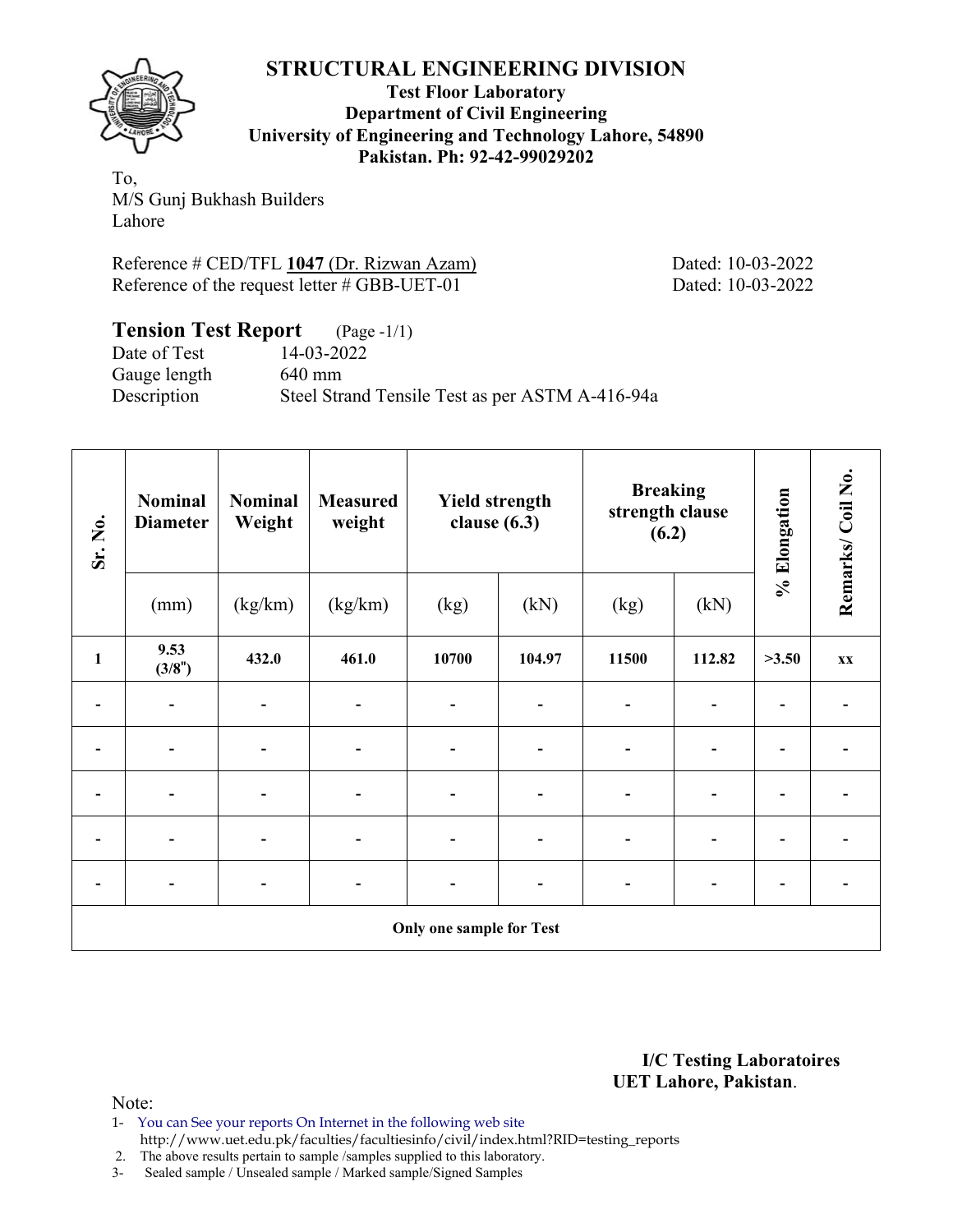

**Test Floor Laboratory Department of Civil Engineering University of Engineering and Technology Lahore, 54890 Pakistan. Ph: 92-42-99029202** 

To, M/S Gunj Bukhash Builders Lahore

Reference # CED/TFL 1047 (Dr. Rizwan Azam) Dated: 10-03-2022 Reference of the request letter # GBB-UET-01 Dated: 10-03-2022

## **Tension Test Report** (Page -1/1) Date of Test 14-03-2022 Gauge length 640 mm Description Steel Strand Tensile Test as per ASTM A-416-94a

| Sr. No.      | <b>Nominal</b><br><b>Diameter</b> | <b>Nominal</b><br>Weight     | <b>Measured</b><br>weight | <b>Yield strength</b><br>clause $(6.3)$ |        | <b>Breaking</b><br>strength clause<br>(6.2) |        | % Elongation | Remarks/Coil No. |
|--------------|-----------------------------------|------------------------------|---------------------------|-----------------------------------------|--------|---------------------------------------------|--------|--------------|------------------|
|              | (mm)                              | (kg/km)                      | (kg/km)                   | (kg)                                    | (kN)   | (kg)                                        | (kN)   |              |                  |
| $\mathbf{1}$ | 9.53<br>(3/8")                    | 432.0                        | 461.0                     | 10700                                   | 104.97 | 11500                                       | 112.82 | >3.50        | XX               |
|              |                                   |                              |                           |                                         |        | $\overline{\phantom{0}}$                    |        |              |                  |
|              |                                   |                              |                           |                                         |        |                                             |        |              |                  |
| -            |                                   |                              |                           |                                         |        | -                                           |        |              |                  |
| -            |                                   |                              |                           |                                         |        | $\overline{\phantom{0}}$                    |        |              |                  |
| -            |                                   | $\qquad \qquad \blacksquare$ |                           |                                         |        | $\blacksquare$<br>$\overline{\phantom{a}}$  |        |              |                  |
|              |                                   |                              |                           | <b>Only one sample for Test</b>         |        |                                             |        |              |                  |

**I/C Testing Laboratoires UET Lahore, Pakistan**.

Note:

1- You can See your reports On Internet in the following web site http://www.uet.edu.pk/faculties/facultiesinfo/civil/index.html?RID=testing\_reports

2. The above results pertain to sample /samples supplied to this laboratory.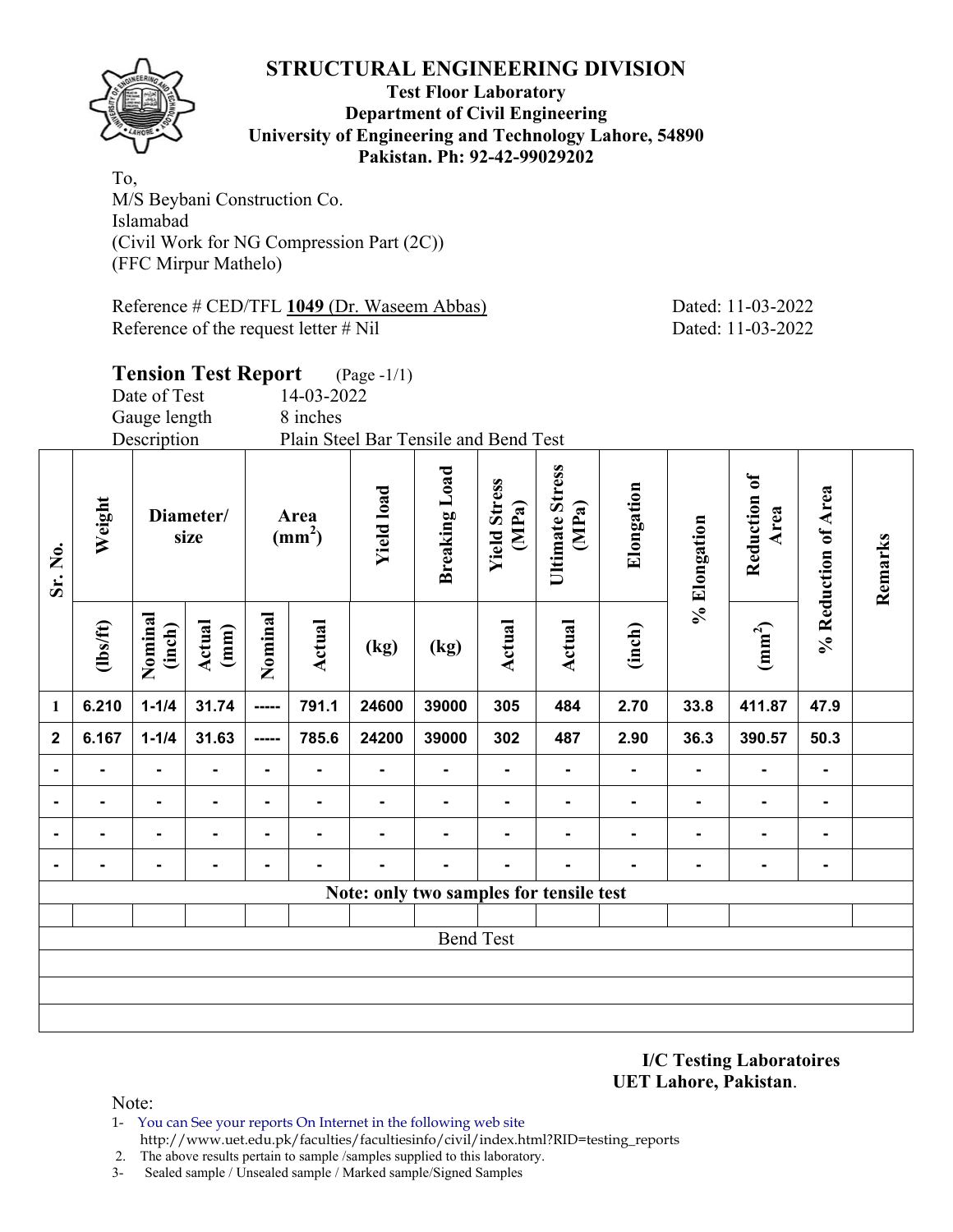

#### **Test Floor Laboratory Department of Civil Engineering University of Engineering and Technology Lahore, 54890 Pakistan. Ph: 92-42-99029202**

To, M/S Beybani Construction Co. Islamabad (Civil Work for NG Compression Part (2C)) (FFC Mirpur Mathelo)

Reference # CED/TFL **1049** (Dr. Waseem Abbas) Dated: 11-03-2022 Reference of the request letter # Nil Dated: 11-03-2022

**Remarks** 

Remarks

| <b>Tension Test Report</b><br>$(Page - 1/1)$<br>14-03-2022<br>Date of Test<br>Gauge length |          |                                     |                   |                |                         |                                         |                      |                              |                                 |                |                |                      |                     |
|--------------------------------------------------------------------------------------------|----------|-------------------------------------|-------------------|----------------|-------------------------|-----------------------------------------|----------------------|------------------------------|---------------------------------|----------------|----------------|----------------------|---------------------|
|                                                                                            |          | Description                         |                   |                | 8 inches                | Plain Steel Bar Tensile and Bend Test   |                      |                              |                                 |                |                |                      |                     |
| Weight<br>Sr. No.                                                                          |          |                                     | Diameter/<br>size |                | Area<br>$\text{(mm}^2)$ | <b>Yield load</b>                       | <b>Breaking Load</b> | <b>Yield Stress</b><br>(MPa) | <b>Ultimate Stress</b><br>(MPa) | Elongation     | % Elongation   | Reduction of<br>Area | % Reduction of Area |
|                                                                                            | (lbs/ft) | Nominal<br>Actual<br>(inch)<br>(mm) |                   | Nominal        | Actual                  | (kg)                                    | (kg)                 | Actual                       | Actual                          | (inch)         |                | (mm <sup>2</sup> )   |                     |
| $\mathbf{1}$                                                                               | 6.210    | $1 - 1/4$                           | 31.74             | -----          | 791.1                   | 24600                                   | 39000                | 305                          | 484                             | 2.70           | 33.8           | 411.87               | 47.9                |
| $\overline{\mathbf{2}}$                                                                    | 6.167    | $1 - 1/4$                           | 31.63             | -----          | 785.6                   | 24200                                   | 39000                | 302                          | 487                             | 2.90           | 36.3           | 390.57               | 50.3                |
| $\blacksquare$                                                                             |          |                                     |                   | ۰              |                         |                                         |                      |                              |                                 | $\blacksquare$ | $\blacksquare$ |                      |                     |
| ٠                                                                                          |          |                                     | Ξ.                | $\blacksquare$ | -                       | $\blacksquare$                          | $\blacksquare$       | ۰                            | ۰                               | ۰              | $\blacksquare$ | $\blacksquare$       | $\blacksquare$      |
| ۰                                                                                          |          | $\blacksquare$                      |                   | ۰              |                         |                                         |                      |                              |                                 |                |                |                      |                     |
| ٠                                                                                          |          |                                     |                   |                |                         |                                         |                      |                              |                                 |                |                |                      | $\blacksquare$      |
|                                                                                            |          |                                     |                   |                |                         | Note: only two samples for tensile test |                      |                              |                                 |                |                |                      |                     |
|                                                                                            |          |                                     |                   |                |                         |                                         | <b>Bend Test</b>     |                              |                                 |                |                |                      |                     |
|                                                                                            |          |                                     |                   |                |                         |                                         |                      |                              |                                 |                |                |                      |                     |
|                                                                                            |          |                                     |                   |                |                         |                                         |                      |                              |                                 |                |                |                      |                     |
|                                                                                            |          |                                     |                   |                |                         |                                         |                      |                              |                                 |                |                |                      |                     |
|                                                                                            |          |                                     |                   |                |                         |                                         |                      |                              |                                 |                |                |                      |                     |

**I/C Testing Laboratoires UET Lahore, Pakistan**.

- 1- You can See your reports On Internet in the following web site http://www.uet.edu.pk/faculties/facultiesinfo/civil/index.html?RID=testing\_reports
- 2. The above results pertain to sample /samples supplied to this laboratory.
- 3- Sealed sample / Unsealed sample / Marked sample/Signed Samples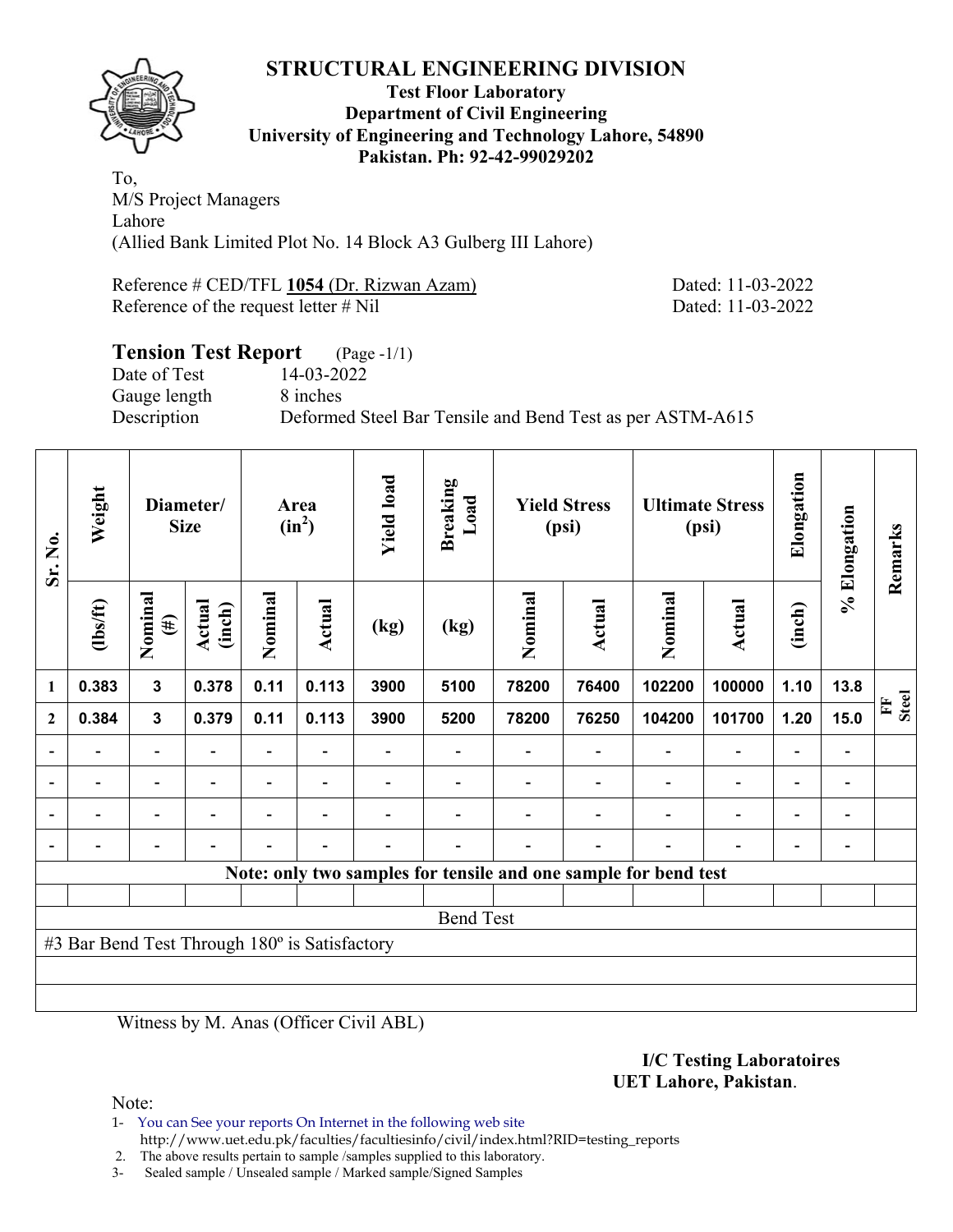**Test Floor Laboratory Department of Civil Engineering University of Engineering and Technology Lahore, 54890 Pakistan. Ph: 92-42-99029202** 

To, M/S Project Managers Lahore (Allied Bank Limited Plot No. 14 Block A3 Gulberg III Lahore)

Reference # CED/TFL 1054 (Dr. Rizwan Azam) Dated: 11-03-2022 Reference of the request letter # Nil Dated: 11-03-2022

### **Tension Test Report** (Page -1/1) Date of Test 14-03-2022 Gauge length 8 inches Description Deformed Steel Bar Tensile and Bend Test as per ASTM-A615

| Sr. No.        | Weight                                        | Diameter/<br><b>Size</b> |                          | Area<br>$(in^2)$         |                          | <b>Yield load</b> | <b>Breaking</b><br>Load | <b>Yield Stress</b><br>(psi) |                          | <b>Ultimate Stress</b><br>(psi)                                 |                          | Elongation               | % Elongation | Remarks                      |
|----------------|-----------------------------------------------|--------------------------|--------------------------|--------------------------|--------------------------|-------------------|-------------------------|------------------------------|--------------------------|-----------------------------------------------------------------|--------------------------|--------------------------|--------------|------------------------------|
| $\mathbf{1}$   | (1bs/ft)                                      | Nominal<br>$(\#)$        | Actual<br>(inch)         | Nominal                  | Actual                   | (kg)              | (kg)                    | Nominal                      | <b>Actual</b>            | Nominal                                                         | Actual                   | (inch)                   |              |                              |
|                | 0.383                                         | $\mathbf{3}$             | 0.378                    | 0.11                     | 0.113                    | 3900              | 5100                    | 78200                        | 76400                    | 102200                                                          | 100000                   | 1.10                     | 13.8         |                              |
| $\mathbf{2}$   | 0.384                                         | $\mathbf{3}$             | 0.379                    | 0.11                     | 0.113                    | 3900              | 5200                    | 78200                        | 76250                    | 104200                                                          | 101700                   | 1.20                     | 15.0         | <b>Steel</b><br>$\mathbf{F}$ |
| $\overline{a}$ | -                                             | $\blacksquare$           |                          |                          |                          |                   |                         |                              | $\overline{\phantom{a}}$ | $\overline{\phantom{a}}$                                        | $\overline{\phantom{a}}$ | $\overline{\phantom{a}}$ |              |                              |
|                | $\overline{\phantom{0}}$                      | $\blacksquare$           | $\overline{a}$           | $\overline{\phantom{0}}$ | $\overline{\phantom{a}}$ |                   |                         |                              |                          | $\overline{\phantom{a}}$                                        | $\overline{a}$           | $\overline{\phantom{a}}$ |              |                              |
|                |                                               | $\overline{\phantom{0}}$ | $\overline{\phantom{0}}$ |                          | $\overline{\phantom{0}}$ |                   |                         |                              |                          |                                                                 | $\overline{\phantom{0}}$ | $\overline{\phantom{0}}$ |              |                              |
|                |                                               | $\blacksquare$           |                          |                          |                          |                   |                         |                              |                          |                                                                 | $\blacksquare$           | ۰                        |              |                              |
|                |                                               |                          |                          |                          |                          |                   |                         |                              |                          | Note: only two samples for tensile and one sample for bend test |                          |                          |              |                              |
|                |                                               |                          |                          |                          |                          |                   |                         |                              |                          |                                                                 |                          |                          |              |                              |
|                | <b>Bend Test</b>                              |                          |                          |                          |                          |                   |                         |                              |                          |                                                                 |                          |                          |              |                              |
|                | #3 Bar Bend Test Through 180° is Satisfactory |                          |                          |                          |                          |                   |                         |                              |                          |                                                                 |                          |                          |              |                              |
|                |                                               |                          |                          |                          |                          |                   |                         |                              |                          |                                                                 |                          |                          |              |                              |
|                |                                               |                          |                          |                          |                          |                   |                         |                              |                          |                                                                 |                          |                          |              |                              |

Witness by M. Anas (Officer Civil ABL)

#### **I/C Testing Laboratoires UET Lahore, Pakistan**.

Note:

1- You can See your reports On Internet in the following web site http://www.uet.edu.pk/faculties/facultiesinfo/civil/index.html?RID=testing\_reports

2. The above results pertain to sample /samples supplied to this laboratory.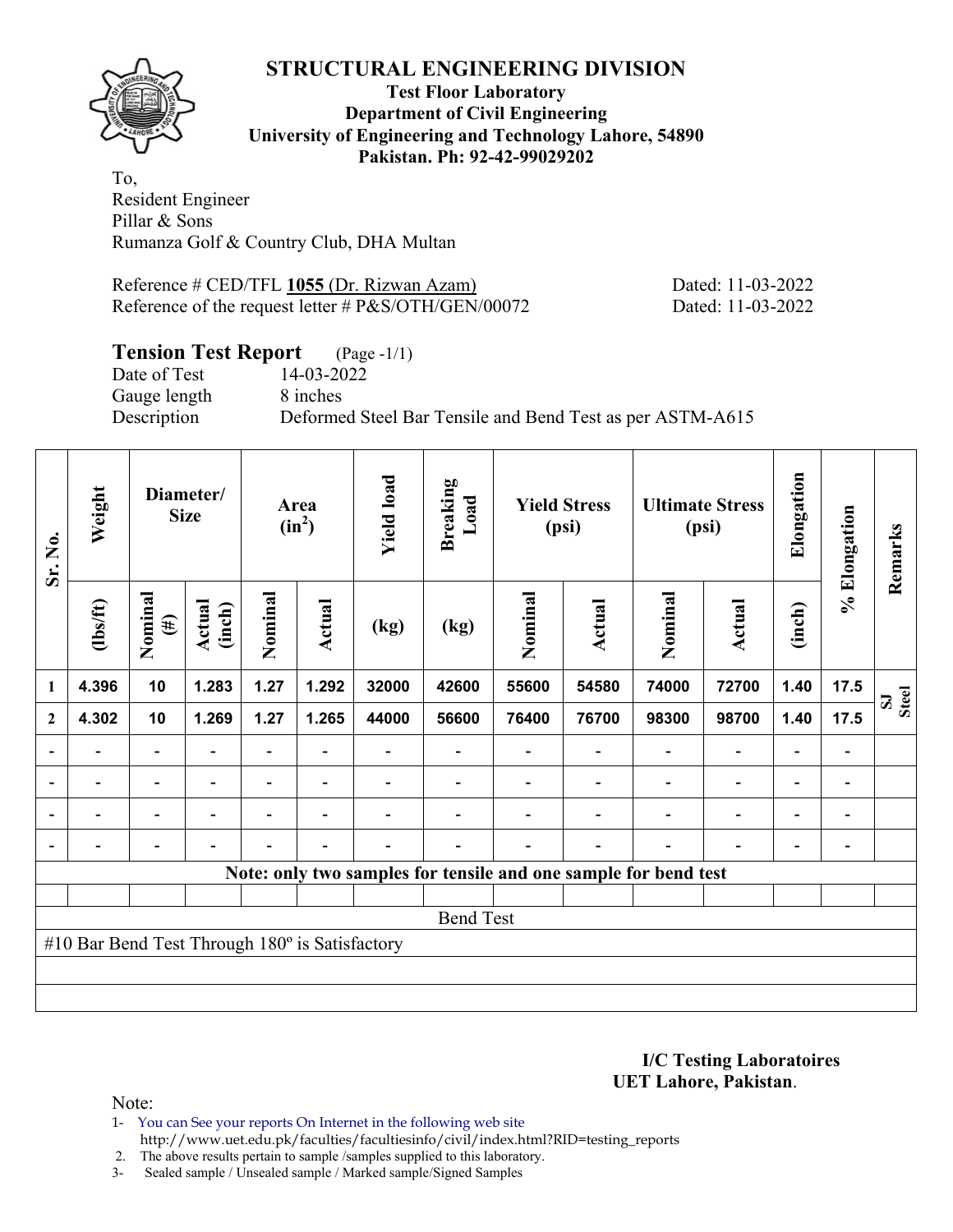

#### **Test Floor Laboratory Department of Civil Engineering University of Engineering and Technology Lahore, 54890 Pakistan. Ph: 92-42-99029202**

To, Resident Engineer Pillar & Sons Rumanza Golf & Country Club, DHA Multan

Reference # CED/TFL 1055 (Dr. Rizwan Azam) Dated: 11-03-2022 Reference of the request letter # P&S/OTH/GEN/00072 Dated: 11-03-2022

## **Tension Test Report** (Page -1/1)

Date of Test 14-03-2022 Gauge length 8 inches

Description Deformed Steel Bar Tensile and Bend Test as per ASTM-A615

| Sr. No.                  | Weight                                         | Diameter/<br><b>Size</b> |                          | Area<br>$(in^2)$         |                          | <b>Yield load</b>        | <b>Breaking</b><br>Load | <b>Yield Stress</b><br>(psi) |                          | <b>Ultimate Stress</b><br>(psi)                                 |                          | Elongation               | % Elongation                 | Remarks                   |
|--------------------------|------------------------------------------------|--------------------------|--------------------------|--------------------------|--------------------------|--------------------------|-------------------------|------------------------------|--------------------------|-----------------------------------------------------------------|--------------------------|--------------------------|------------------------------|---------------------------|
|                          | $\frac{2}{10}$                                 | Nominal<br>$(\#)$        | Actual<br>(inch)         | Nominal                  | <b>Actual</b>            | (kg)                     | (kg)                    | Nominal                      | Actual                   | Nominal                                                         | <b>Actual</b>            | (inch)                   |                              |                           |
| $\mathbf{1}$             | 4.396                                          | 10                       | 1.283                    | 1.27                     | 1.292                    | 32000                    | 42600                   | 55600                        | 54580                    | 74000                                                           | 72700                    | 1.40                     | 17.5                         | <b>Steel</b><br>${\bf S}$ |
| $\mathbf{2}$             | 4.302                                          | 10                       | 1.269                    | 1.27                     | 1.265                    | 44000                    | 56600                   | 76400                        | 76700                    | 98300                                                           | 98700                    | 1.40                     | 17.5                         |                           |
|                          |                                                | $\overline{\phantom{0}}$ |                          |                          |                          |                          |                         |                              |                          |                                                                 | $\overline{\phantom{0}}$ | $\overline{\phantom{0}}$ |                              |                           |
| $\overline{\phantom{a}}$ | $\overline{\phantom{0}}$                       | $\blacksquare$           | $\overline{\phantom{0}}$ | $\overline{\phantom{0}}$ | $\overline{\phantom{a}}$ | $\overline{\phantom{0}}$ |                         |                              | $\overline{\phantom{a}}$ | $\overline{\phantom{a}}$                                        | $\overline{\phantom{a}}$ | $\overline{\phantom{a}}$ | $\overline{\phantom{a}}$     |                           |
| $\overline{a}$           | -                                              | $\overline{\phantom{0}}$ | $\overline{\phantom{0}}$ | -                        | $\overline{\phantom{0}}$ |                          |                         |                              |                          | ٠                                                               | $\overline{\phantom{0}}$ | $\overline{\phantom{0}}$ | $\qquad \qquad \blacksquare$ |                           |
|                          | -                                              | Ξ.                       | $\overline{\phantom{0}}$ | $\blacksquare$           | $\overline{\phantom{a}}$ | $\overline{a}$           |                         |                              | $\overline{\phantom{0}}$ | $\blacksquare$                                                  | $\blacksquare$           | $\overline{\phantom{a}}$ | $\qquad \qquad \blacksquare$ |                           |
|                          |                                                |                          |                          |                          |                          |                          |                         |                              |                          | Note: only two samples for tensile and one sample for bend test |                          |                          |                              |                           |
|                          |                                                |                          |                          |                          |                          |                          |                         |                              |                          |                                                                 |                          |                          |                              |                           |
|                          | <b>Bend Test</b>                               |                          |                          |                          |                          |                          |                         |                              |                          |                                                                 |                          |                          |                              |                           |
|                          | #10 Bar Bend Test Through 180° is Satisfactory |                          |                          |                          |                          |                          |                         |                              |                          |                                                                 |                          |                          |                              |                           |
|                          |                                                |                          |                          |                          |                          |                          |                         |                              |                          |                                                                 |                          |                          |                              |                           |
|                          |                                                |                          |                          |                          |                          |                          |                         |                              |                          |                                                                 |                          |                          |                              |                           |

**I/C Testing Laboratoires UET Lahore, Pakistan**.

- 1- You can See your reports On Internet in the following web site http://www.uet.edu.pk/faculties/facultiesinfo/civil/index.html?RID=testing\_reports
- 2. The above results pertain to sample /samples supplied to this laboratory.
- 3- Sealed sample / Unsealed sample / Marked sample/Signed Samples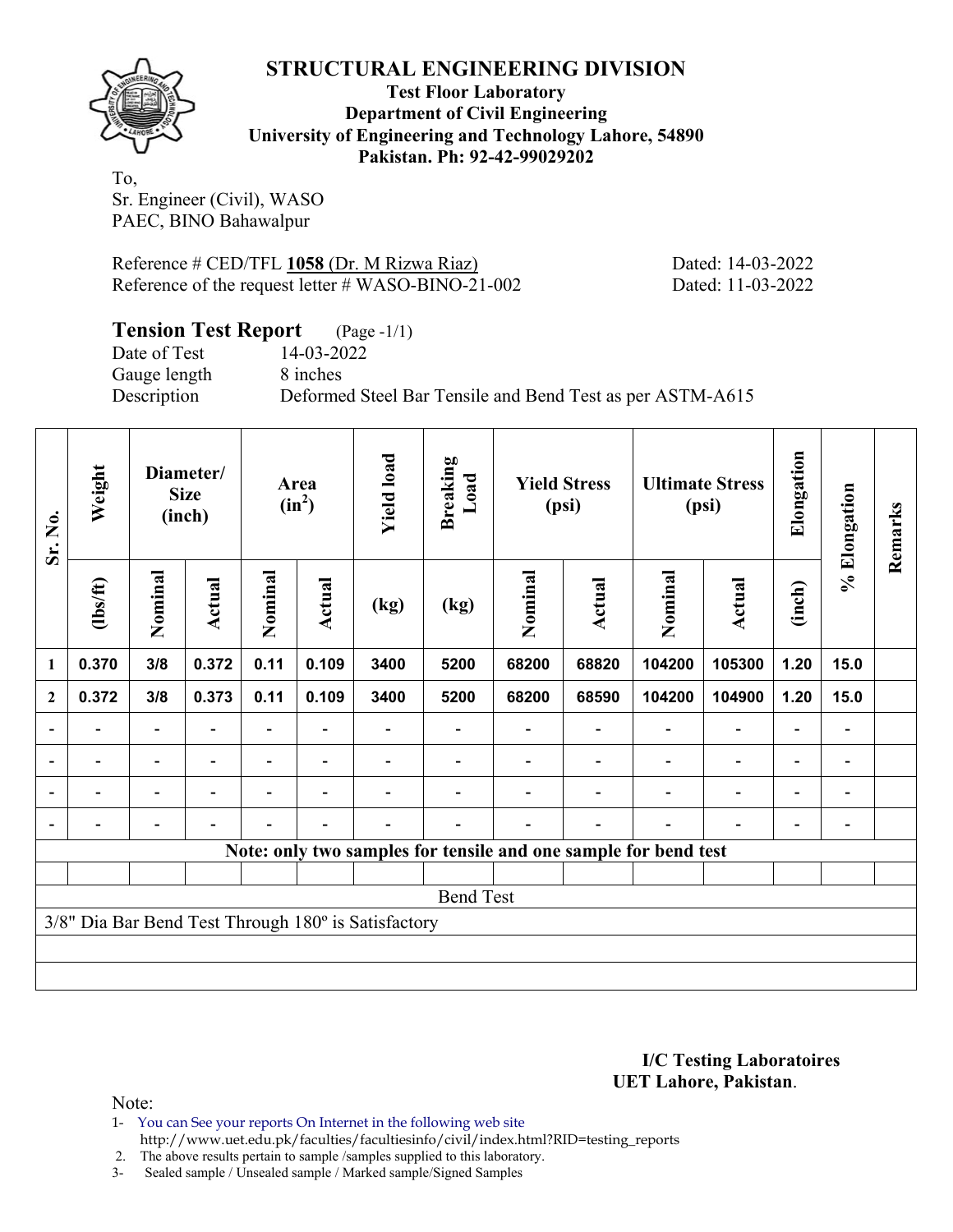

**Test Floor Laboratory Department of Civil Engineering University of Engineering and Technology Lahore, 54890 Pakistan. Ph: 92-42-99029202** 

To, Sr. Engineer (Civil), WASO PAEC, BINO Bahawalpur

Reference # CED/TFL 1058 (Dr. M Rizwa Riaz) Dated: 14-03-2022 Reference of the request letter # WASO-BINO-21-002 Dated: 11-03-2022

| <b>Tension Test Report</b> (Page -1/1) |                                                           |
|----------------------------------------|-----------------------------------------------------------|
| Date of Test                           | 14-03-2022                                                |
| Gauge length                           | 8 inches                                                  |
| Description                            | Deformed Steel Bar Tensile and Bend Test as per ASTM-A615 |

| Sr. No.                  | Weight           |                          | Diameter/<br><b>Size</b><br>(inch) |                          | Area<br>$(in^2)$         | <b>Yield load</b>                                   | <b>Breaking</b><br>Load<br><b>Yield Stress</b><br><b>Ultimate Stress</b><br>(psi)<br>(psi) |         |               |                                                                 | Elongation    | % Elongation             | Remarks                      |  |
|--------------------------|------------------|--------------------------|------------------------------------|--------------------------|--------------------------|-----------------------------------------------------|--------------------------------------------------------------------------------------------|---------|---------------|-----------------------------------------------------------------|---------------|--------------------------|------------------------------|--|
|                          | (1bs/ft)         | Nominal                  | <b>Actual</b>                      | Nominal                  | Actual                   | (kg)                                                | (kg)                                                                                       | Nominal | <b>Actual</b> | Nominal                                                         | <b>Actual</b> | (inch)                   |                              |  |
| 1                        | 0.370            | 3/8                      | 0.372                              | 0.11                     | 0.109                    | 3400                                                | 5200                                                                                       | 68200   | 68820         | 104200                                                          | 105300        | 1.20                     | 15.0                         |  |
| $\mathbf{2}$             | 0.372            | 3/8                      | 0.373                              | 0.11                     | 0.109                    | 3400                                                | 5200                                                                                       | 68200   | 68590         | 104200                                                          | 104900        | 1.20                     | 15.0                         |  |
|                          |                  |                          |                                    |                          |                          |                                                     |                                                                                            |         |               |                                                                 |               |                          |                              |  |
| $\overline{\phantom{0}}$ |                  | $\overline{\phantom{0}}$ |                                    |                          | $\overline{\phantom{0}}$ |                                                     |                                                                                            |         |               |                                                                 |               | $\overline{\phantom{0}}$ | $\overline{\phantom{0}}$     |  |
|                          |                  | $\blacksquare$           |                                    |                          |                          |                                                     |                                                                                            |         |               |                                                                 |               | $\overline{\phantom{0}}$ | $\qquad \qquad \blacksquare$ |  |
|                          |                  | $\overline{\phantom{0}}$ |                                    | $\overline{\phantom{0}}$ | $\overline{\phantom{0}}$ |                                                     |                                                                                            |         |               |                                                                 | ٠             | $\overline{\phantom{0}}$ |                              |  |
|                          |                  |                          |                                    |                          |                          |                                                     |                                                                                            |         |               | Note: only two samples for tensile and one sample for bend test |               |                          |                              |  |
|                          |                  |                          |                                    |                          |                          |                                                     |                                                                                            |         |               |                                                                 |               |                          |                              |  |
|                          | <b>Bend Test</b> |                          |                                    |                          |                          |                                                     |                                                                                            |         |               |                                                                 |               |                          |                              |  |
|                          |                  |                          |                                    |                          |                          | 3/8" Dia Bar Bend Test Through 180° is Satisfactory |                                                                                            |         |               |                                                                 |               |                          |                              |  |
|                          |                  |                          |                                    |                          |                          |                                                     |                                                                                            |         |               |                                                                 |               |                          |                              |  |
|                          |                  |                          |                                    |                          |                          |                                                     |                                                                                            |         |               |                                                                 |               |                          |                              |  |

**I/C Testing Laboratoires UET Lahore, Pakistan**.

Note:

1- You can See your reports On Internet in the following web site http://www.uet.edu.pk/faculties/facultiesinfo/civil/index.html?RID=testing\_reports

2. The above results pertain to sample /samples supplied to this laboratory.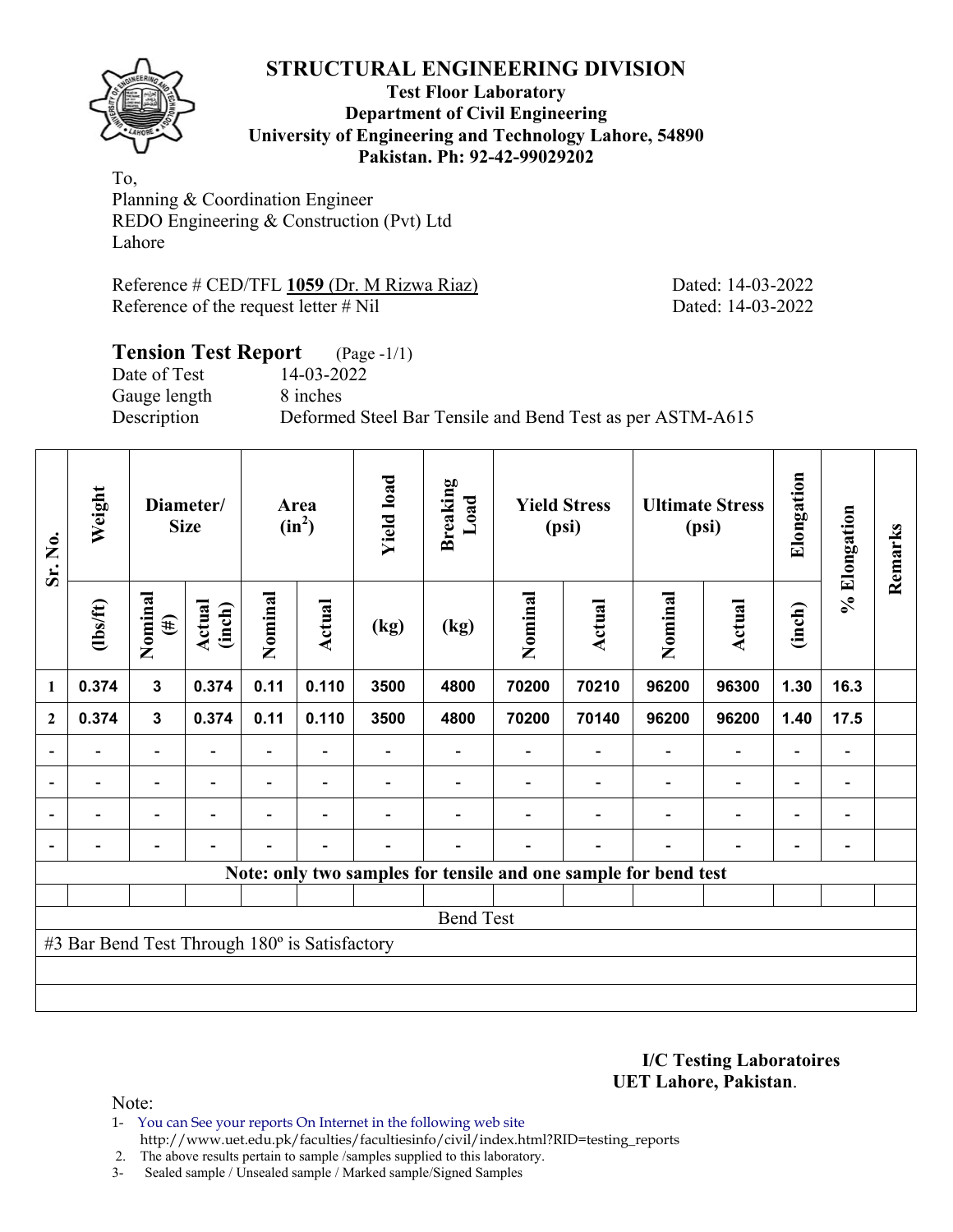

#### **Test Floor Laboratory Department of Civil Engineering University of Engineering and Technology Lahore, 54890 Pakistan. Ph: 92-42-99029202**

To, Planning & Coordination Engineer REDO Engineering & Construction (Pvt) Ltd Lahore

Reference # CED/TFL 1059 (Dr. M Rizwa Riaz) Dated: 14-03-2022 Reference of the request letter # Nil Dated: 14-03-2022

# **Tension Test Report** (Page -1/1) Date of Test 14-03-2022 Gauge length 8 inches Description Deformed Steel Bar Tensile and Bend Test as per ASTM-A615

| Sr. No.                  | Weight                                        |                          | Diameter/<br><b>Size</b> |         | Area<br>$(in^2)$         | <b>Yield load</b><br>Breaking<br>Load<br><b>Yield Stress</b><br><b>Ultimate Stress</b><br>(psi)<br>(psi) |                                                                 |         |                          | Elongation | % Elongation             | Remarks                  |                              |  |
|--------------------------|-----------------------------------------------|--------------------------|--------------------------|---------|--------------------------|----------------------------------------------------------------------------------------------------------|-----------------------------------------------------------------|---------|--------------------------|------------|--------------------------|--------------------------|------------------------------|--|
|                          | $\frac{2}{10}$                                | Nominal<br>$(\#)$        | Actual<br>(inch)         | Nominal | Actual                   | (kg)                                                                                                     | (kg)                                                            | Nominal | Actual                   | Nominal    | Actual                   | (inch)                   |                              |  |
| $\mathbf{1}$             | 0.374                                         | $\overline{\mathbf{3}}$  | 0.374                    | 0.11    | 0.110                    | 3500                                                                                                     | 4800                                                            | 70200   | 70210                    | 96200      | 96300                    | 1.30                     | 16.3                         |  |
| $\overline{2}$           | 0.374                                         | $\mathbf{3}$             | 0.374                    | 0.11    | 0.110                    | 3500                                                                                                     | 4800                                                            | 70200   | 70140                    | 96200      | 96200                    | 1.40                     | 17.5                         |  |
| $\overline{\phantom{0}}$ |                                               | $\overline{\phantom{a}}$ |                          |         |                          |                                                                                                          |                                                                 |         |                          |            | $\overline{\phantom{a}}$ | $\overline{\phantom{a}}$ | $\overline{\phantom{a}}$     |  |
| $\overline{\phantom{a}}$ |                                               | $\overline{\phantom{a}}$ |                          |         |                          |                                                                                                          |                                                                 |         |                          |            | $\overline{\phantom{a}}$ | $\overline{\phantom{0}}$ | $\qquad \qquad \blacksquare$ |  |
| $\overline{\phantom{a}}$ | $\overline{a}$                                | $\overline{\phantom{a}}$ | $\overline{\phantom{0}}$ |         | $\overline{\phantom{0}}$ |                                                                                                          |                                                                 |         | $\overline{\phantom{0}}$ |            | $\overline{\phantom{a}}$ | $\overline{\phantom{0}}$ | $\overline{\phantom{a}}$     |  |
| $\overline{\phantom{a}}$ |                                               | $\overline{\phantom{0}}$ |                          |         | $\overline{\phantom{0}}$ |                                                                                                          |                                                                 |         | $\overline{\phantom{0}}$ |            | $\overline{\phantom{0}}$ | $\overline{\phantom{a}}$ | $\overline{\phantom{a}}$     |  |
|                          |                                               |                          |                          |         |                          |                                                                                                          | Note: only two samples for tensile and one sample for bend test |         |                          |            |                          |                          |                              |  |
|                          |                                               |                          |                          |         |                          |                                                                                                          |                                                                 |         |                          |            |                          |                          |                              |  |
|                          |                                               |                          |                          |         |                          |                                                                                                          | <b>Bend Test</b>                                                |         |                          |            |                          |                          |                              |  |
|                          | #3 Bar Bend Test Through 180° is Satisfactory |                          |                          |         |                          |                                                                                                          |                                                                 |         |                          |            |                          |                          |                              |  |
|                          |                                               |                          |                          |         |                          |                                                                                                          |                                                                 |         |                          |            |                          |                          |                              |  |
|                          |                                               |                          |                          |         |                          |                                                                                                          |                                                                 |         |                          |            |                          |                          |                              |  |

**I/C Testing Laboratoires UET Lahore, Pakistan**.

- 1- You can See your reports On Internet in the following web site http://www.uet.edu.pk/faculties/facultiesinfo/civil/index.html?RID=testing\_reports
- 2. The above results pertain to sample /samples supplied to this laboratory.
- 3- Sealed sample / Unsealed sample / Marked sample/Signed Samples